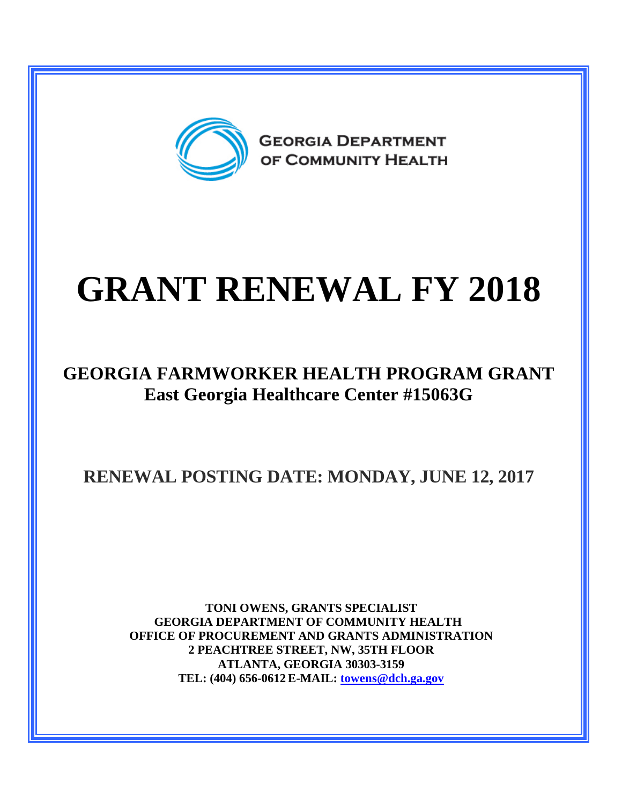

# **GRANT RENEWAL FY 2018**

#### **GEORGIA FARMWORKER HEALTH PROGRAM GRANT East Georgia Healthcare Center #15063G**

### **RENEWAL POSTING DATE: MONDAY, JUNE 12, 2017**

**TONI OWENS, GRANTS SPECIALIST GEORGIA DEPARTMENT OF COMMUNITY HEALTH OFFICE OF PROCUREMENT AND GRANTS ADMINISTRATION 2 PEACHTREE STREET, NW, 35TH FLOOR ATLANTA, GEORGIA 30303-3159 TEL: (404) 656-0612 E-MAIL: [towens@dch.ga.gov](mailto:towens@dch.ga.gov)**